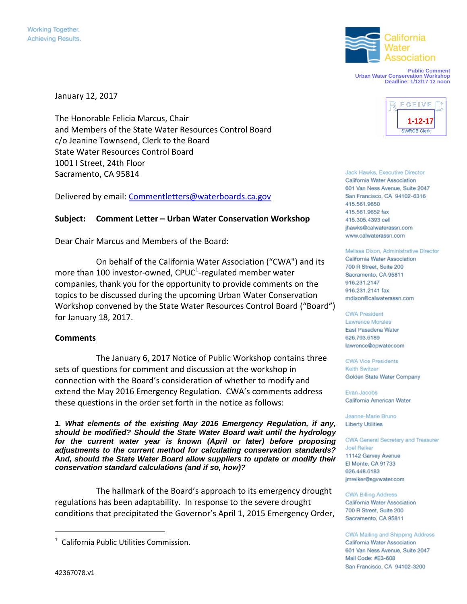

**Public Comment Urban Water Conservation Workshop Deadline: 1/12/17 12 noon**

January 12, 2017

The Honorable Felicia Marcus, Chair and Members of the State Water Resources Control Board c/o Jeanine Townsend, Clerk to the Board State Water Resources Control Board 1001 I Street, 24th Floor Sacramento, CA 95814

Delivered by email: Commentletters@waterboards.ca.gov

# **Subject: Comment Letter – Urban Water Conservation Workshop**

Dear Chair Marcus and Members of the Board:

On behalf of the California Water Association ("CWA") and its more than 100 investor-owned, CPUC<sup>1</sup>-regulated member water companies, thank you for the opportunity to provide comments on the topics to be discussed during the upcoming Urban Water Conservation Workshop convened by the State Water Resources Control Board ("Board") for January 18, 2017.

## **Comments**

The January 6, 2017 Notice of Public Workshop contains three sets of questions for comment and discussion at the workshop in connection with the Board's consideration of whether to modify and extend the May 2016 Emergency Regulation. CWA's comments address these questions in the order set forth in the notice as follows:

*1. What elements of the existing May 2016 Emergency Regulation, if any, should be modified? Should the State Water Board wait until the hydrology for the current water year is known (April or later) before proposing adjustments to the current method for calculating conservation standards? And, should the State Water Board allow suppliers to update or modify their conservation standard calculations (and if so, how)?*

The hallmark of the Board's approach to its emergency drought regulations has been adaptability. In response to the severe drought conditions that precipitated the Governor's April 1, 2015 Emergency Order,



Jack Hawks, Executive Director California Water Association 601 Van Ness Avenue, Suite 2047 San Francisco, CA 94102-6316 415.561.9650 415.561.9652 fax 415.305.4393 cell ihawks@calwaterassn.com www.calwaterassn.com

Melissa Dixon, Administrative Director California Water Association 700 R Street, Suite 200 Sacramento, CA 95811 916.231.2147 916.231.2141 fax mdixon@calwaterassn.com

#### **CWA President Lawrence Morales** East Pasadena Water 626.793.6189 lawrence@epwater.com

**CWA Vice Presidents** Keith Switzer Golden State Water Company

**Evan Jacobs** California American Water

Jeanne-Marie Bruno **Liberty Utilities** 

CWA General Secretary and Treasurer **Joel Reiker** 11142 Garvey Avenue El Monte, CA 91733 626.448.6183 jmreiker@sgvwater.com

**CWA Billing Address** California Water Association 700 R Street, Suite 200 Sacramento, CA 95811

### CWA Mailing and Shipping Address

California Water Association 601 Van Ness Avenue, Suite 2047 Mail Code: #E3-608 San Francisco, CA 94102-3200

<sup>&</sup>lt;sup>1</sup> California Public Utilities Commission.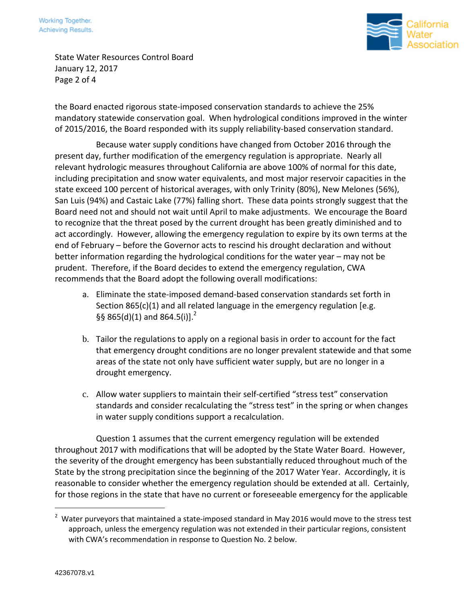

State Water Resources Control Board January 12, 2017 Page 2 of 4

the Board enacted rigorous state-imposed conservation standards to achieve the 25% mandatory statewide conservation goal. When hydrological conditions improved in the winter of 2015/2016, the Board responded with its supply reliability-based conservation standard.

Because water supply conditions have changed from October 2016 through the present day, further modification of the emergency regulation is appropriate. Nearly all relevant hydrologic measures throughout California are above 100% of normal for this date, including precipitation and snow water equivalents, and most major reservoir capacities in the state exceed 100 percent of historical averages, with only Trinity (80%), New Melones (56%), San Luis (94%) and Castaic Lake (77%) falling short. These data points strongly suggest that the Board need not and should not wait until April to make adjustments. We encourage the Board to recognize that the threat posed by the current drought has been greatly diminished and to act accordingly. However, allowing the emergency regulation to expire by its own terms at the end of February – before the Governor acts to rescind his drought declaration and without better information regarding the hydrological conditions for the water year – may not be prudent. Therefore, if the Board decides to extend the emergency regulation, CWA recommends that the Board adopt the following overall modifications:

- a. Eliminate the state-imposed demand-based conservation standards set forth in Section 865(c)(1) and all related language in the emergency regulation [e.g. §§ 865(d)(1) and 864.5(i)].<sup>2</sup>
- b. Tailor the regulations to apply on a regional basis in order to account for the fact that emergency drought conditions are no longer prevalent statewide and that some areas of the state not only have sufficient water supply, but are no longer in a drought emergency.
- c. Allow water suppliers to maintain their self-certified "stress test" conservation standards and consider recalculating the "stress test" in the spring or when changes in water supply conditions support a recalculation.

Question 1 assumes that the current emergency regulation will be extended throughout 2017 with modifications that will be adopted by the State Water Board. However, the severity of the drought emergency has been substantially reduced throughout much of the State by the strong precipitation since the beginning of the 2017 Water Year. Accordingly, it is reasonable to consider whether the emergency regulation should be extended at all. Certainly, for those regions in the state that have no current or foreseeable emergency for the applicable

 $2$  Water purveyors that maintained a state-imposed standard in May 2016 would move to the stress test approach, unless the emergency regulation was not extended in their particular regions, consistent with CWA's recommendation in response to Question No. 2 below.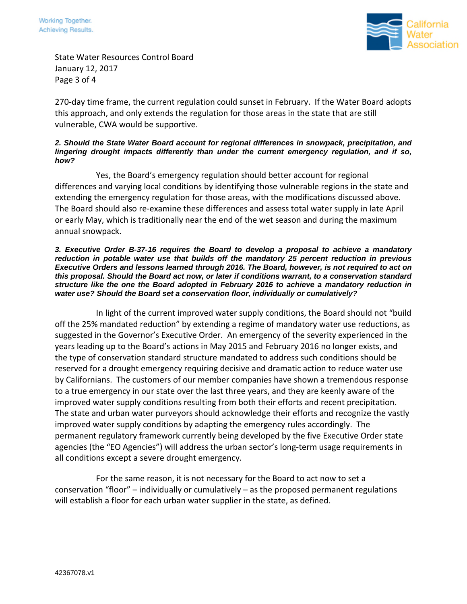

State Water Resources Control Board January 12, 2017 Page 3 of 4

270-day time frame, the current regulation could sunset in February. If the Water Board adopts this approach, and only extends the regulation for those areas in the state that are still vulnerable, CWA would be supportive.

### *2. Should the State Water Board account for regional differences in snowpack, precipitation, and lingering drought impacts differently than under the current emergency regulation, and if so, how?*

Yes, the Board's emergency regulation should better account for regional differences and varying local conditions by identifying those vulnerable regions in the state and extending the emergency regulation for those areas, with the modifications discussed above. The Board should also re-examine these differences and assess total water supply in late April or early May, which is traditionally near the end of the wet season and during the maximum annual snowpack.

### *3. Executive Order B-37-16 requires the Board to develop a proposal to achieve a mandatory reduction in potable water use that builds off the mandatory 25 percent reduction in previous Executive Orders and lessons learned through 2016. The Board, however, is not required to act on this proposal. Should the Board act now, or later if conditions warrant, to a conservation standard structure like the one the Board adopted in February 2016 to achieve a mandatory reduction in water use? Should the Board set a conservation floor, individually or cumulatively?*

In light of the current improved water supply conditions, the Board should not "build off the 25% mandated reduction" by extending a regime of mandatory water use reductions, as suggested in the Governor's Executive Order. An emergency of the severity experienced in the years leading up to the Board's actions in May 2015 and February 2016 no longer exists, and the type of conservation standard structure mandated to address such conditions should be reserved for a drought emergency requiring decisive and dramatic action to reduce water use by Californians. The customers of our member companies have shown a tremendous response to a true emergency in our state over the last three years, and they are keenly aware of the improved water supply conditions resulting from both their efforts and recent precipitation. The state and urban water purveyors should acknowledge their efforts and recognize the vastly improved water supply conditions by adapting the emergency rules accordingly. The permanent regulatory framework currently being developed by the five Executive Order state agencies (the "EO Agencies") will address the urban sector's long-term usage requirements in all conditions except a severe drought emergency.

For the same reason, it is not necessary for the Board to act now to set a conservation "floor" – individually or cumulatively – as the proposed permanent regulations will establish a floor for each urban water supplier in the state, as defined.